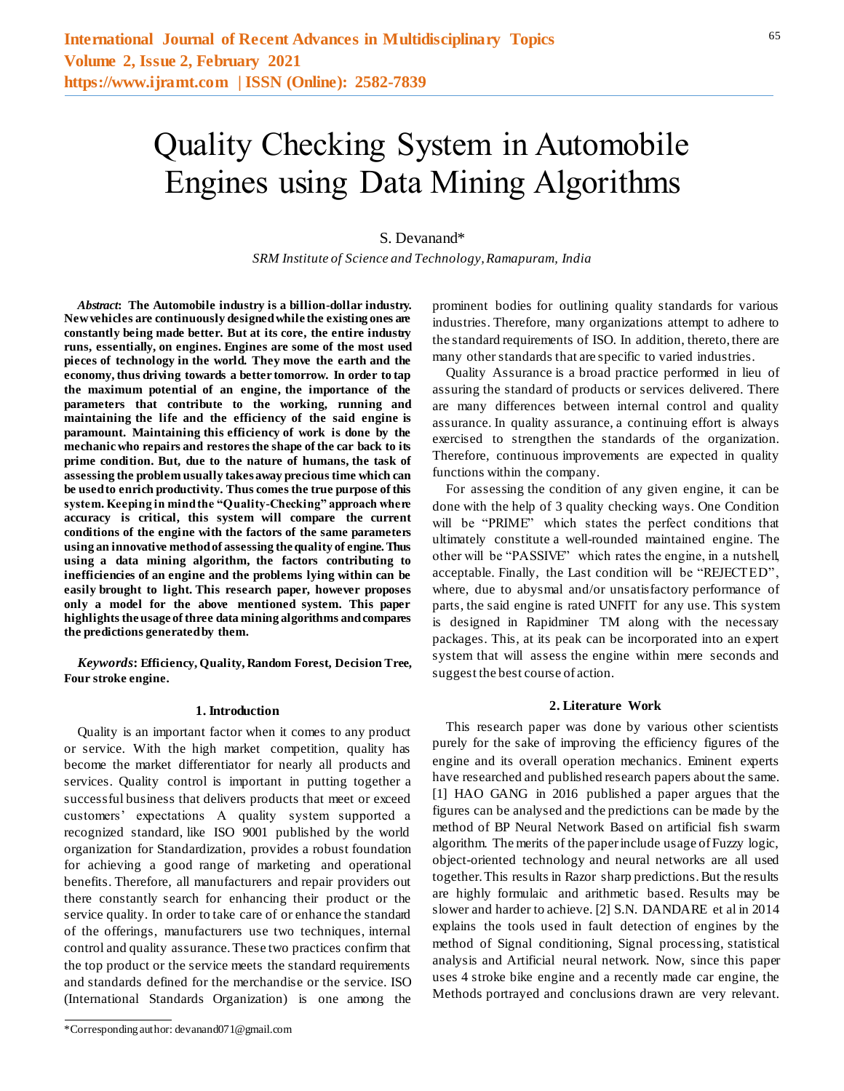# Quality Checking System in Automobile Engines using Data Mining Algorithms

## S. Devanand\*

*SRM Institute of Science and Technology, Ramapuram, India*

*Abstract***: The Automobile industry is a billion-dollar industry. New vehicles are continuously designed while the existing ones are constantly being made better. But at its core, the entire industry runs, essentially, on engines. Engines are some of the most used pieces of technology in the world. They move the earth and the economy, thus driving towards a better tomorrow. In order to tap the maximum potential of an engine, the importance of the parameters that contribute to the working, running and maintaining the life and the efficiency of the said engine is paramount. Maintaining this efficiency of work is done by the mechanic who repairs and restores the shape of the car back to its prime condition. But, due to the nature of humans, the task of assessing the problem usually takes away precious time which can be used to enrich productivity. Thus comes the true purpose of this system. Keeping in mind the "Quality-Checking" approach where accuracy is critical, this system will compare the current conditions of the engine with the factors of the same parameters using an innovative method of assessing the quality of engine. Thus using a data mining algorithm, the factors contributing to inefficiencies of an engine and the problems lying within can be easily brought to light. This research paper, however proposes only a model for the above mentioned system. This paper highlights the usage of three data mining algorithms and compares the predictions generated by them.**

*Keywords***: Efficiency, Quality, Random Forest, Decision Tree, Four stroke engine.**

#### **1. Introduction**

Quality is an important factor when it comes to any product or service. With the high market competition, quality has become the market differentiator for nearly all products and services. Quality control is important in putting together a successful business that delivers products that meet or exceed customers' expectations A quality system supported a recognized standard, like ISO 9001 published by the world organization for Standardization, provides a robust foundation for achieving a good range of marketing and operational benefits. Therefore, all manufacturers and repair providers out there constantly search for enhancing their product or the service quality. In order to take care of or enhance the standard of the offerings, manufacturers use two techniques, internal control and quality assurance. These two practices confirm that the top product or the service meets the standard requirements and standards defined for the merchandise or the service. ISO (International Standards Organization) is one among the

\*Corresponding author: devanand071@gmail.com

prominent bodies for outlining quality standards for various industries. Therefore, many organizations attempt to adhere to the standard requirements of ISO. In addition, thereto, there are many other standards that are specific to varied industries.

Quality Assurance is a broad practice performed in lieu of assuring the standard of products or services delivered. There are many differences between internal control and quality assurance. In quality assurance, a continuing effort is always exercised to strengthen the standards of the organization. Therefore, continuous improvements are expected in quality functions within the company.

For assessing the condition of any given engine, it can be done with the help of 3 quality checking ways. One Condition will be "PRIME" which states the perfect conditions that ultimately constitute a well-rounded maintained engine. The other will be "PASSIVE" which rates the engine, in a nutshell, acceptable. Finally, the Last condition will be "REJECTED", where, due to abysmal and/or unsatisfactory performance of parts, the said engine is rated UNFIT for any use. This system is designed in Rapidminer TM along with the necessary packages. This, at its peak can be incorporated into an expert system that will assess the engine within mere seconds and suggest the best course of action.

#### **2. Literature Work**

This research paper was done by various other scientists purely for the sake of improving the efficiency figures of the engine and its overall operation mechanics. Eminent experts have researched and published research papers about the same. [1] HAO GANG in 2016 published a paper argues that the figures can be analysed and the predictions can be made by the method of BP Neural Network Based on artificial fish swarm algorithm. The merits of the paper include usage of Fuzzy logic, object-oriented technology and neural networks are all used together. This results in Razor sharp predictions. But the results are highly formulaic and arithmetic based. Results may be slower and harder to achieve. [2] S.N. DANDARE et al in 2014 explains the tools used in fault detection of engines by the method of Signal conditioning, Signal processing, statistical analysis and Artificial neural network. Now, since this paper uses 4 stroke bike engine and a recently made car engine, the Methods portrayed and conclusions drawn are very relevant.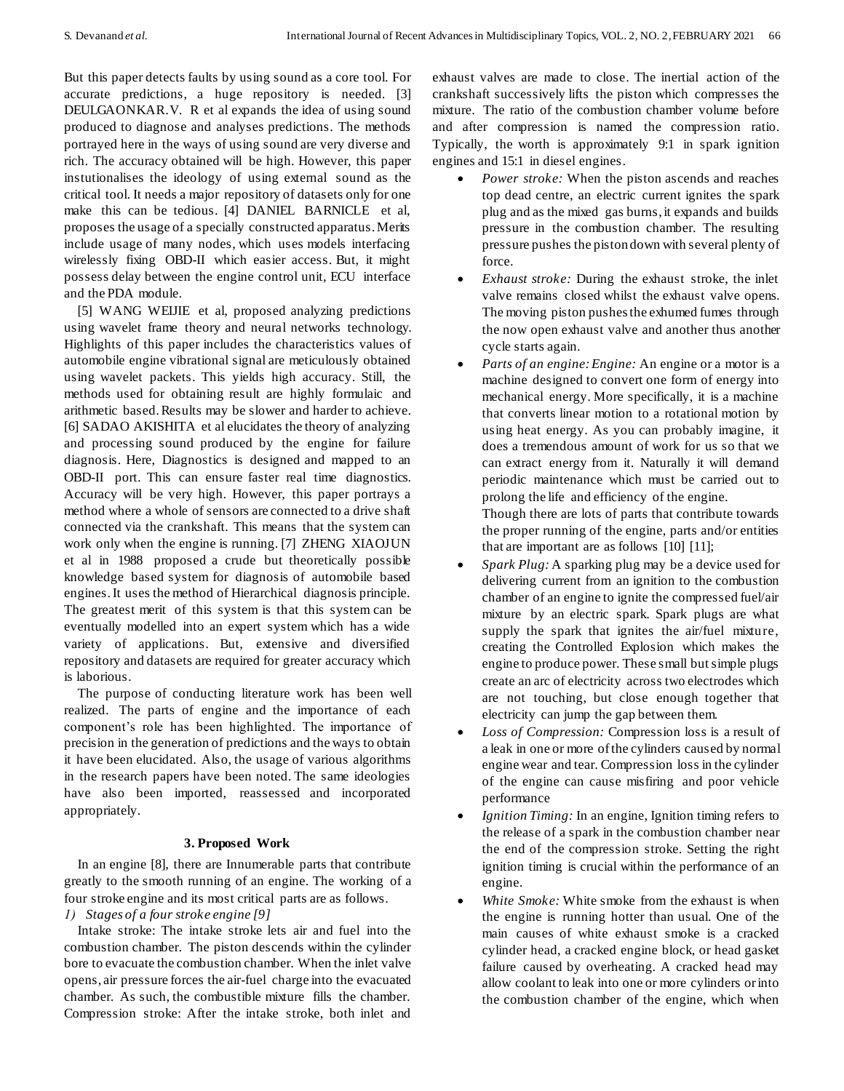But this paper detects faults by using sound as a core tool. For accurate predictions, a huge repository is needed. [3] DEULGAONKAR.V. R et al expands the idea of using sound produced to diagnose and analyses predictions. The methods portrayed here in the ways of using sound are very diverse and rich. The accuracy obtained will be high. However, this paper instutionalises the ideology of using external sound as the critical tool. It needs a major repository of datasets only for one make this can be tedious. [4] DANIEL BARNICLE et al, proposes the usage of a specially constructed apparatus. Merits include usage of many nodes, which uses models interfacing wirelessly fixing OBD-II which easier access. But, it might possess delay between the engine control unit, ECU interface and the PDA module.

[5] WANG WEIJIE et al, proposed analyzing predictions using wavelet frame theory and neural networks technology. Highlights of this paper includes the characteristics values of automobile engine vibrational signal are meticulously obtained using wavelet packets. This yields high accuracy. Still, the methods used for obtaining result are highly formulaic and arithmetic based. Results may be slower and harder to achieve. [6] SADAO AKISHITA et al elucidates the theory of analyzing and processing sound produced by the engine for failure diagnosis. Here, Diagnostics is designed and mapped to an OBD-II port. This can ensure faster real time diagnostics. Accuracy will be very high. However, this paper portrays a method where a whole of sensors are connected to a drive shaft connected via the crankshaft. This means that the system can work only when the engine is running. [7] ZHENG XIAOJUN et al in 1988 proposed a crude but theoretically possible knowledge based system for diagnosis of automobile based engines. It uses the method of Hierarchical diagnosis principle. The greatest merit of this system is that this system can be eventually modelled into an expert system which has a wide variety of applications. But, extensive and diversified repository and datasets are required for greater accuracy which is laborious.

The purpose of conducting literature work has been well realized. The parts of engine and the importance of each component's role has been highlighted. The importance of precision in the generation of predictions and the ways to obtain it have been elucidated. Also, the usage of various algorithms in the research papers have been noted. The same ideologies have also been imported, reassessed and incorporated appropriately.

# **3. Proposed Work**

In an engine [8], there are Innumerable parts that contribute greatly to the smooth running of an engine. The working of a four stroke engine and its most critical parts are as follows.

### *1) Stages of a four stroke engine [9]*

Intake stroke: The intake stroke lets air and fuel into the combustion chamber. The piston descends within the cylinder bore to evacuate the combustion chamber. When the inlet valve opens, air pressure forces the air-fuel charge into the evacuated chamber. As such, the combustible mixture fills the chamber. Compression stroke: After the intake stroke, both inlet and

exhaust valves are made to close. The inertial action of the crankshaft successively lifts the piston which compresses the mixture. The ratio of the combustion chamber volume before and after compression is named the compression ratio. Typically, the worth is approximately 9:1 in spark ignition engines and 15:1 in diesel engines.

- *Power stroke:* When the piston ascends and reaches top dead centre, an electric current ignites the spark plug and as the mixed gas burns, it expands and builds pressure in the combustion chamber. The resulting pressure pushes the piston down with several plenty of force.
- *Exhaust stroke:* During the exhaust stroke, the inlet valve remains closed whilst the exhaust valve opens. The moving piston pushes the exhumed fumes through the now open exhaust valve and another thus another cycle starts again.
- *Parts of an engine: Engine:* An engine or a motor is a machine designed to convert one form of energy into mechanical energy. More specifically, it is a machine that converts linear motion to a rotational motion by using heat energy. As you can probably imagine, it does a tremendous amount of work for us so that we can extract energy from it. Naturally it will demand periodic maintenance which must be carried out to prolong the life and efficiency of the engine. Though there are lots of parts that contribute towards

the proper running of the engine, parts and/or entities that are important are as follows [10] [11];

- *Spark Plug:* A sparking plug may be a device used for delivering current from an ignition to the combustion chamber of an engine to ignite the compressed fuel/air mixture by an electric spark. Spark plugs are what supply the spark that ignites the air/fuel mixture, creating the Controlled Explosion which makes the engine to produce power. These small but simple plugs create an arc of electricity across two electrodes which are not touching, but close enough together that electricity can jump the gap between them.
- *Loss of Compression:* Compression loss is a result of a leak in one or more of the cylinders caused by normal engine wear and tear. Compression loss in the cylinder of the engine can cause misfiring and poor vehicle performance
- *Ignition Timing:* In an engine, Ignition timing refers to the release of a spark in the combustion chamber near the end of the compression stroke. Setting the right ignition timing is crucial within the performance of an engine.
- *White Smoke:* White smoke from the exhaust is when the engine is running hotter than usual. One of the main causes of white exhaust smoke is a cracked cylinder head, a cracked engine block, or head gasket failure caused by overheating. A cracked head may allow coolant to leak into one or more cylinders or into the combustion chamber of the engine, which when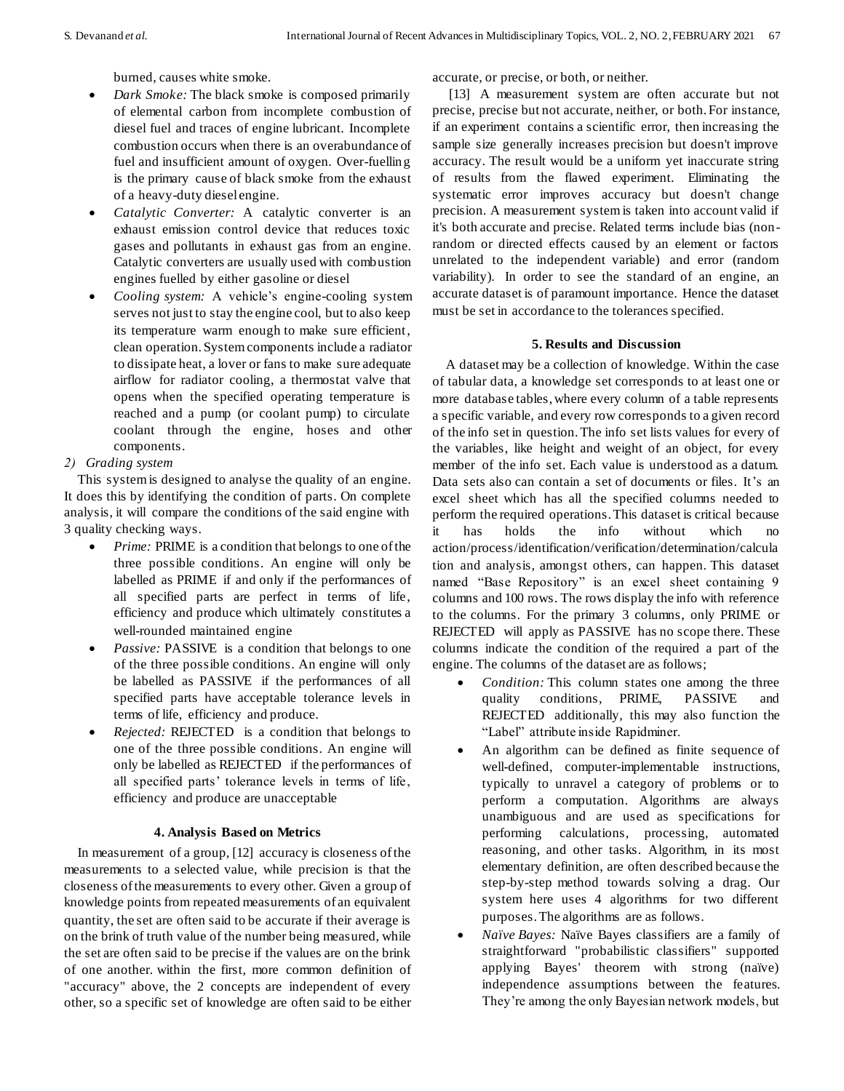burned, causes white smoke.

- *Dark Smoke:* The black smoke is composed primarily of elemental carbon from incomplete combustion of diesel fuel and traces of engine lubricant. Incomplete combustion occurs when there is an overabundance of fuel and insufficient amount of oxygen. Over-fuelling is the primary cause of black smoke from the exhaust of a heavy-duty diesel engine.
- *Catalytic Converter:* A catalytic converter is an exhaust emission control device that reduces toxic gases and pollutants in exhaust gas from an engine. Catalytic converters are usually used with combustion engines fuelled by either gasoline or diesel
- *Cooling system:* A vehicle's engine-cooling system serves not just to stay the engine cool, but to also keep its temperature warm enough to make sure efficient, clean operation. System components include a radiator to dissipate heat, a lover or fans to make sure adequate airflow for radiator cooling, a thermostat valve that opens when the specified operating temperature is reached and a pump (or coolant pump) to circulate coolant through the engine, hoses and other components.
- *2) Grading system*

This system is designed to analyse the quality of an engine. It does this by identifying the condition of parts. On complete analysis, it will compare the conditions of the said engine with 3 quality checking ways.

- *Prime:* PRIME is a condition that belongs to one of the three possible conditions. An engine will only be labelled as PRIME if and only if the performances of all specified parts are perfect in terms of life, efficiency and produce which ultimately constitutes a well-rounded maintained engine
- *Passive:* PASSIVE is a condition that belongs to one of the three possible conditions. An engine will only be labelled as PASSIVE if the performances of all specified parts have acceptable tolerance levels in terms of life, efficiency and produce.
- *Rejected:* REJECTED is a condition that belongs to one of the three possible conditions. An engine will only be labelled as REJECTED if the performances of all specified parts' tolerance levels in terms of life, efficiency and produce are unacceptable

# **4. Analysis Based on Metrics**

In measurement of a group, [12] accuracy is closeness of the measurements to a selected value, while precision is that the closeness of the measurements to every other. Given a group of knowledge points from repeated measurements of an equivalent quantity, the set are often said to be accurate if their average is on the brink of truth value of the number being measured, while the set are often said to be precise if the values are on the brink of one another. within the first, more common definition of "accuracy" above, the 2 concepts are independent of every other, so a specific set of knowledge are often said to be either accurate, or precise, or both, or neither.

[13] A measurement system are often accurate but not precise, precise but not accurate, neither, or both. For instance, if an experiment contains a scientific error, then increasing the sample size generally increases precision but doesn't improve accuracy. The result would be a uniform yet inaccurate string of results from the flawed experiment. Eliminating the systematic error improves accuracy but doesn't change precision. A measurement system is taken into account valid if it's both accurate and precise. Related terms include bias (nonrandom or directed effects caused by an element or factors unrelated to the independent variable) and error (random variability). In order to see the standard of an engine, an accurate dataset is of paramount importance. Hence the dataset must be set in accordance to the tolerances specified.

### **5. Results and Discussion**

A dataset may be a collection of knowledge. Within the case of tabular data, a knowledge set corresponds to at least one or more database tables, where every column of a table represents a specific variable, and every row corresponds to a given record of the info set in question. The info set lists values for every of the variables, like height and weight of an object, for every member of the info set. Each value is understood as a datum. Data sets also can contain a set of documents or files. It's an excel sheet which has all the specified columns needed to perform the required operations. This dataset is critical because it has holds the info without which no action/process/identification/verification/determination/calcula tion and analysis, amongst others, can happen. This dataset named "Base Repository" is an excel sheet containing 9 columns and 100 rows. The rows display the info with reference to the columns. For the primary 3 columns, only PRIME or REJECTED will apply as PASSIVE has no scope there. These columns indicate the condition of the required a part of the engine. The columns of the dataset are as follows;

- *Condition:* This column states one among the three quality conditions, PRIME, PASSIVE and REJECTED additionally, this may also function the "Label" attribute inside Rapidminer.
- An algorithm can be defined as finite sequence of well-defined, computer-implementable instructions, typically to unravel a category of problems or to perform a computation. Algorithms are always unambiguous and are used as specifications for performing calculations, processing, automated reasoning, and other tasks. Algorithm, in its most elementary definition, are often described because the step-by-step method towards solving a drag. Our system here uses 4 algorithms for two different purposes. The algorithms are as follows.
- *Naïve Bayes:* Naïve Bayes classifiers are a family of straightforward "probabilistic classifiers" supported applying Bayes' theorem with strong (naïve) independence assumptions between the features. They're among the only Bayesian network models, but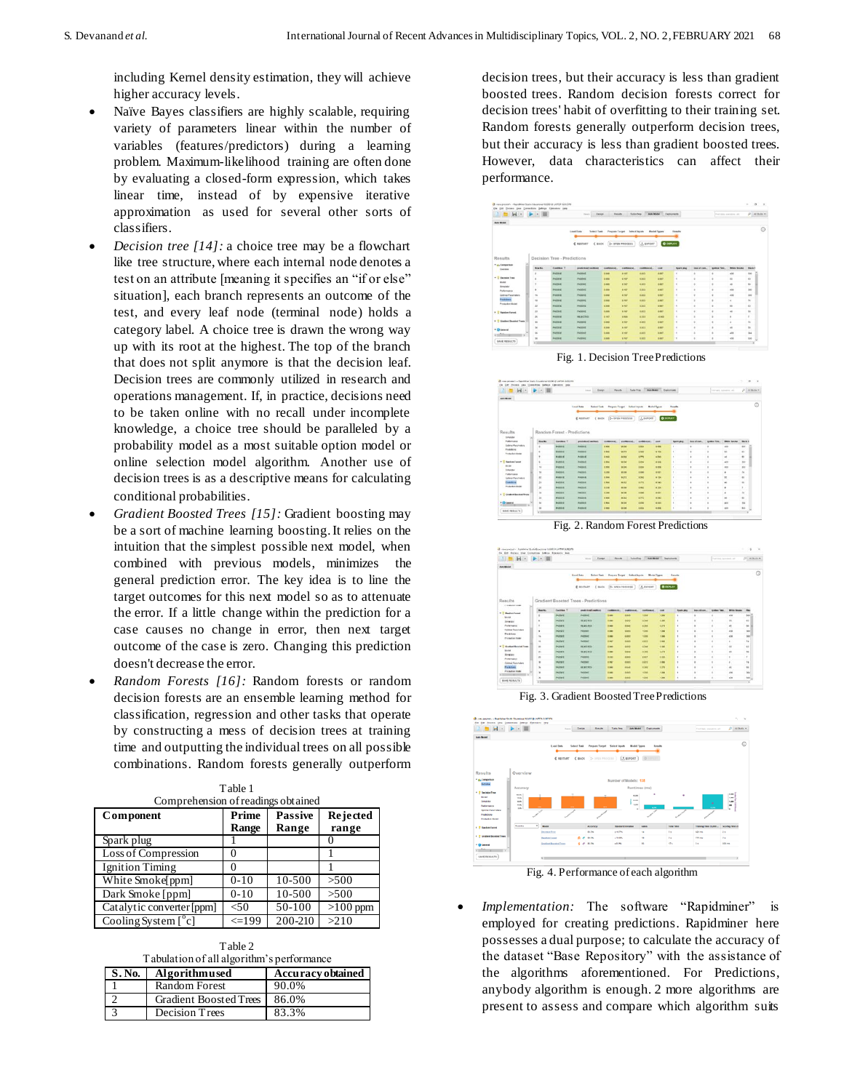including Kernel density estimation, they will achieve higher accuracy levels.

- Naïve Bayes classifiers are highly scalable, requiring variety of parameters linear within the number of variables (features/predictors) during a learning problem. Maximum-likelihood training are often done by evaluating a closed-form expression, which takes linear time, instead of by expensive iterative approximation as used for several other sorts of classifiers.
- *Decision tree [14]:* a choice tree may be a flowchart like tree structure, where each internal node denotes a test on an attribute [meaning it specifies an "if or else" situation], each branch represents an outcome of the test, and every leaf node (terminal node) holds a category label. A choice tree is drawn the wrong way up with its root at the highest. The top of the branch that does not split anymore is that the decision leaf. Decision trees are commonly utilized in research and operations management. If, in practice, decisions need to be taken online with no recall under incomplete knowledge, a choice tree should be paralleled by a probability model as a most suitable option model or online selection model algorithm. Another use of decision trees is as a descriptive means for calculating conditional probabilities.
- *Gradient Boosted Trees [15]:* Gradient boosting may be a sort of machine learning boosting. It relies on the intuition that the simplest possible next model, when combined with previous models, minimizes the general prediction error. The key idea is to line the target outcomes for this next model so as to attenuate the error. If a little change within the prediction for a case causes no change in error, then next target outcome of the case is zero. Changing this prediction doesn't decrease the error.
- *Random Forests [16]:* Random forests or random decision forests are an ensemble learning method for classification, regression and other tasks that operate by constructing a mess of decision trees at training time and outputting the individual trees on all possible combinations. Random forests generally outperform

| Comprehension of readings obtained |                |                         |                          |
|------------------------------------|----------------|-------------------------|--------------------------|
| Component                          | Prime<br>Range | <b>Passive</b><br>Range | <b>Rejected</b><br>range |
| Spark plug                         |                |                         |                          |
| Loss of Compression                | 0              |                         |                          |
| <b>Ignition Timing</b>             |                |                         |                          |
| White Smoke[ppm]                   | $0 - 10$       | 10-500                  | >500                     |
| Dark Smoke [ppm]                   | $0 - 10$       | 10-500                  | >500                     |
| Catalytic converter [ppm]          | < 50           | 50-100                  | $>100$ ppm               |
| Cooling System $\lceil$ °c]        | $\leq$ 199     | 200-210                 | >210                     |

Table 1

Table 2 Tabulation of all algorithm's performance

| S. No. | Algorithmused                 | <b>Accuracy obtained</b> |
|--------|-------------------------------|--------------------------|
|        | <b>Random Forest</b>          | 90.0%                    |
|        | <b>Gradient Boosted Trees</b> | 86.0%                    |
|        | Decision Trees                | 83.3%                    |

decision trees, but their accuracy is less than gradient boosted trees. Random decision forests correct for decision trees' habit of overfitting to their training set. Random forests generally outperform decision trees, but their accuracy is less than gradient boosted trees. However, data characteristics can affect their performance.



Fig. 1. Decision Tree Predictions



Fig. 2. Random Forest Predictions

| $H -$                                                                  | $\rightarrow$ $\rightarrow$ $\rightarrow$ |                   | Element<br><b>TOTAL</b>                                                   | <b>Banzin</b>      | <b>Substitute</b>              |                               | <b>Ball Book</b> Theoretical |                    |                      | Test does percent of |                | $D$ . However, in        |
|------------------------------------------------------------------------|-------------------------------------------|-------------------|---------------------------------------------------------------------------|--------------------|--------------------------------|-------------------------------|------------------------------|--------------------|----------------------|----------------------|----------------|--------------------------|
| Arts Monat                                                             |                                           |                   |                                                                           |                    |                                |                               |                              |                    |                      |                      |                |                          |
|                                                                        |                                           |                   | <b><i><u>Read Bate</u></i></b><br><b>Subort Tape</b><br>d'anciales d'augu | D- once reposes    | Propose Turner - Salest Ingots | <b>Model Tages</b><br>A novem | <b>O</b> SEPLOY              | Republic           |                      |                      |                |                          |
| Reaults<br>Construction complete                                       |                                           |                   | Gradient Bonated Trees - Predictions                                      |                    |                                |                               |                              |                    |                      |                      |                |                          |
| * 7 Keeper house                                                       | <b>Bank May</b>                           | <b>Facebook</b> 7 | <b>START TO AN AMERICAN</b>                                               | <b>CARDINAL CO</b> | <b>LANESCORP</b>               | <b>CARD AND</b>               | <b>TOWN</b>                  | <b>South After</b> | <b>NAME OF GROOM</b> | <b>Institut Fax.</b> | With Street    |                          |
| <b>Model</b>                                                           |                                           | <b>PAINTEN</b>    | <b>Publication</b>                                                        | 1,544              | 8,618                          | <b>STAR</b>                   | 1,000                        | ٠                  |                      |                      | AG6            | w                        |
| <b><i><u>Smaller</u></i></b>                                           | ٠                                         | ministr           | <b>HE ACRES</b>                                                           | 1,444              | <b>A SHOT</b>                  | <b>KTAK</b>                   | <b>ROM</b>                   | ٠                  | ٠                    |                      | $\sim$         | $\rightarrow$            |
|                                                                        |                                           |                   |                                                                           |                    |                                |                               |                              |                    |                      |                      |                |                          |
| Patternation                                                           |                                           | <b>PAINVAL</b>    | <b>ALECTOR</b>                                                            | 1,440              | A Saf                          | <b>ATMA</b>                   | <b>ALCOHOL</b>               |                    |                      |                      | $\overline{a}$ | $\overline{\phantom{a}}$ |
| <b>Sylving Parameters</b>                                              | . .                                       | <b>Holland</b>    | <b>Painter</b>                                                            | 1.44               | <b>SHOP</b>                    | <b>Side</b>                   | 1 inch                       |                    | ٠                    |                      | sin            | w                        |
| Posthere<br>Production Hollary                                         | 14<br>œ.                                  | <b>MARKET</b>     | <b>Holtend</b>                                                            | <b>Side</b>        | <b>ABIT</b>                    | <b>STAR</b>                   | <b>Card</b>                  |                    | ٠                    |                      | sin            | <b>MA</b>                |
|                                                                        | ×,                                        | <b>PAGEWAY</b>    | <b>Painting</b>                                                           | $= 10$             | <b>SALE</b>                    | Autob                         | <b>STARK</b>                 |                    | ٠                    |                      | ٠              | $\mathbf{u}_k$           |
|                                                                        | 50<br>٠                                   | <b>PARKET</b>     | <b>INCAPEDO</b>                                                           | 134                | 4,652                          | A bat                         | 1.546                        |                    | ٠                    |                      | $\sim$         | $\ddot{ }$               |
| <b>Sturber</b>                                                         | m<br>n                                    | PAIDER            | <b>HEATHS</b>                                                             | <b>COM</b>         | <b>B Salt</b>                  | <b>THE</b>                    | a era                        |                    | ٠                    |                      | $\overline{a}$ | $\ddot{\phantom{1}}$     |
| Employer                                                               | $\overline{a}$                            | <b>PARKING</b>    | <b>Painter</b>                                                            | a ver              | A Britt                        | <b>COLF</b>                   | <b>RIME</b>                  |                    | ٠                    |                      | ı              | ×                        |
| Petersatci<br><b>Colonial Piercenations</b>                            | ×<br>$\mathbf{u}$                         | PARKING           | <b>Partner</b>                                                            | <b>THE</b>         | A MH                           | <b>A ATE</b>                  | <b>Sides</b>                 |                    | ٠                    | i.                   | ٠              | $\mathbf{u}$             |
| <b>Plantik Charge</b>                                                  | w<br>ha.                                  | <b>MARKET</b>     | <b>ALCOHOL</b>                                                            | 194                | 9.540                          | <b>King</b>                   | \$1279.                      |                    | ٠                    |                      | ×.             | $\sim$                   |
| * 7 Gradual Burghad Trees<br><b>Printing Brand Blocker</b><br>$-1$<br> | m<br>×                                    | PASSAGE           | melatest                                                                  | 114                | <b>A date</b>                  | <b>A Date</b>                 | 4 Detail                     |                    | ٠                    |                      | arms.          | M6                       |

Fig. 3. Gradient Boosted Tree Predictions



Fig. 4. Performance of each algorithm

*Implementation:* The software "Rapidminer" is employed for creating predictions. Rapidminer here possesses a dual purpose; to calculate the accuracy of the dataset "Base Repository" with the assistance of the algorithms aforementioned. For Predictions, anybody algorithm is enough. 2 more algorithms are present to assess and compare which algorithm suits